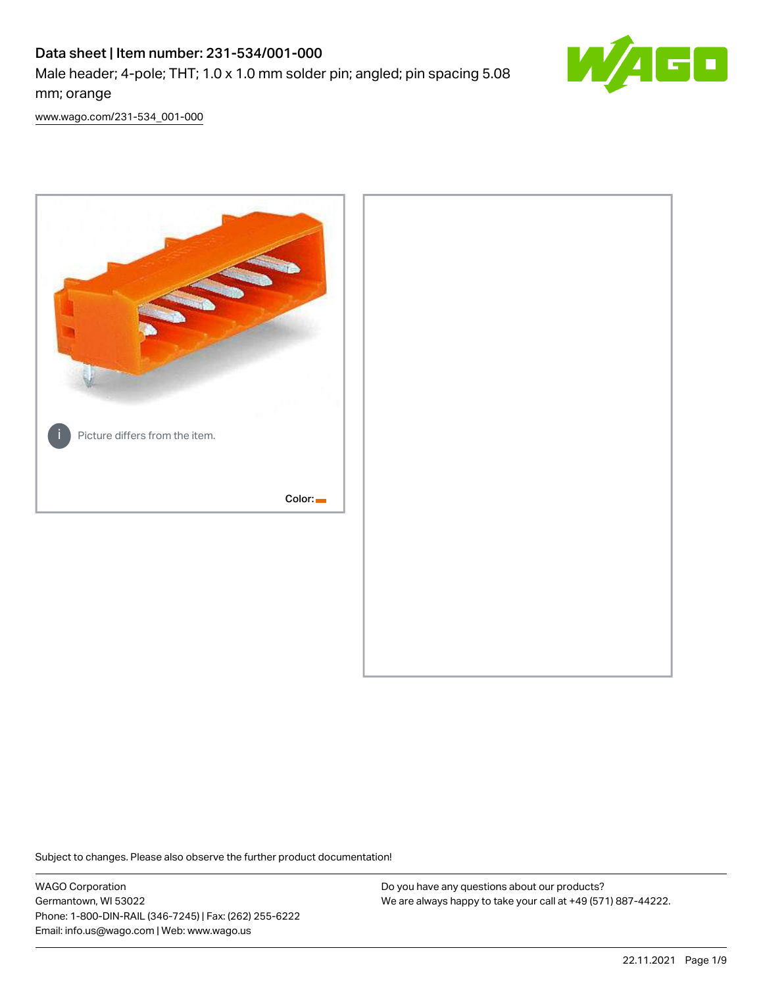# Data sheet | Item number: 231-534/001-000 Male header; 4-pole; THT; 1.0 x 1.0 mm solder pin; angled; pin spacing 5.08 mm; orange



[www.wago.com/231-534\\_001-000](http://www.wago.com/231-534_001-000)



Subject to changes. Please also observe the further product documentation!

WAGO Corporation Germantown, WI 53022 Phone: 1-800-DIN-RAIL (346-7245) | Fax: (262) 255-6222 Email: info.us@wago.com | Web: www.wago.us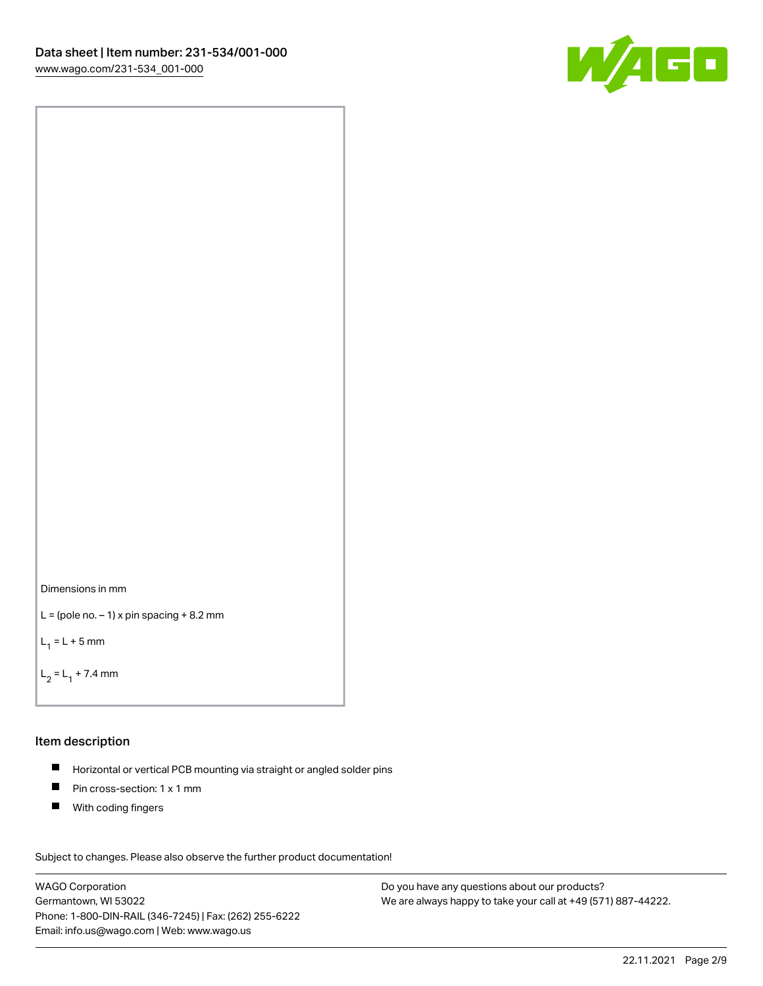



```
L = (pole no. -1) x pin spacing +8.2 mm
```
 $L_1 = L + 5$  mm

```
L_2 = L_1 + 7.4 mm
```
### Item description

- Horizontal or vertical PCB mounting via straight or angled solder pins  $\blacksquare$
- $\blacksquare$ Pin cross-section: 1 x 1 mm
- $\blacksquare$ With coding fingers

Subject to changes. Please also observe the further product documentation! Data

WAGO Corporation Germantown, WI 53022 Phone: 1-800-DIN-RAIL (346-7245) | Fax: (262) 255-6222 Email: info.us@wago.com | Web: www.wago.us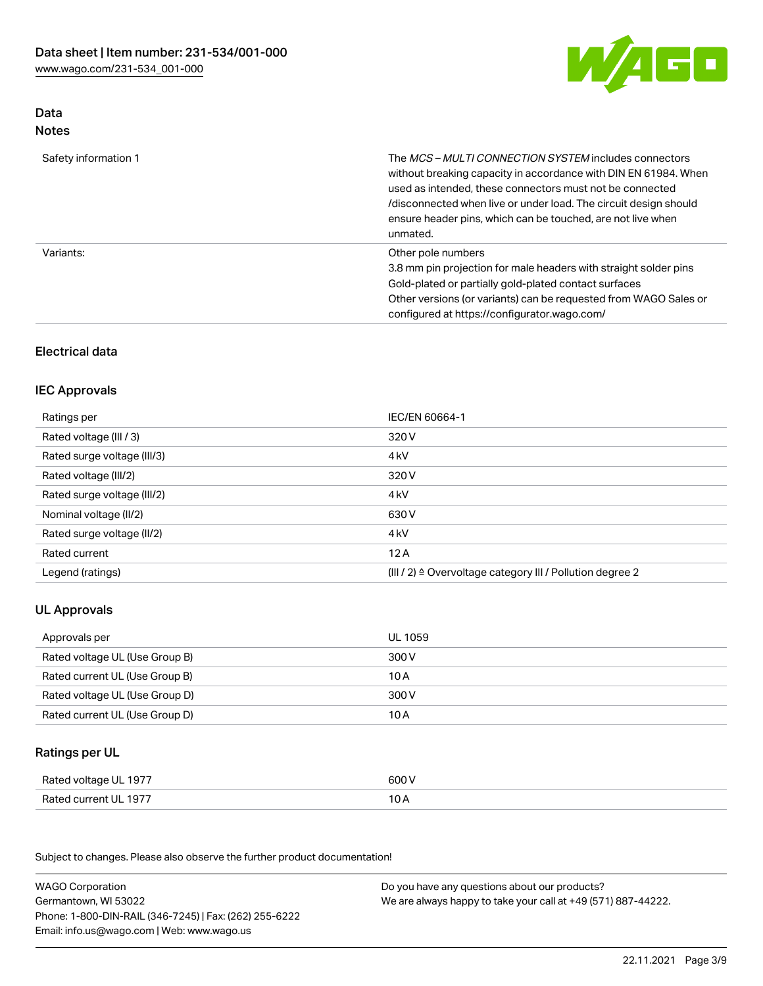

## Data Notes

| Safety information 1 | The <i>MCS – MULTI CONNECTION SYSTEM</i> includes connectors<br>without breaking capacity in accordance with DIN EN 61984. When<br>used as intended, these connectors must not be connected<br>/disconnected when live or under load. The circuit design should<br>ensure header pins, which can be touched, are not live when<br>unmated. |
|----------------------|--------------------------------------------------------------------------------------------------------------------------------------------------------------------------------------------------------------------------------------------------------------------------------------------------------------------------------------------|
| Variants:            | Other pole numbers<br>3.8 mm pin projection for male headers with straight solder pins<br>Gold-plated or partially gold-plated contact surfaces<br>Other versions (or variants) can be requested from WAGO Sales or<br>configured at https://configurator.wago.com/                                                                        |

## Electrical data

## IEC Approvals

| Ratings per                 | IEC/EN 60664-1                                                        |
|-----------------------------|-----------------------------------------------------------------------|
| Rated voltage (III / 3)     | 320 V                                                                 |
| Rated surge voltage (III/3) | 4 <sub>k</sub> V                                                      |
| Rated voltage (III/2)       | 320 V                                                                 |
| Rated surge voltage (III/2) | 4 <sub>k</sub> V                                                      |
| Nominal voltage (II/2)      | 630 V                                                                 |
| Rated surge voltage (II/2)  | 4 <sub>k</sub> V                                                      |
| Rated current               | 12A                                                                   |
| Legend (ratings)            | $(III / 2)$ $\triangle$ Overvoltage category III / Pollution degree 2 |

## UL Approvals

| Approvals per                  | UL 1059 |
|--------------------------------|---------|
| Rated voltage UL (Use Group B) | 300 V   |
| Rated current UL (Use Group B) | 10 A    |
| Rated voltage UL (Use Group D) | 300 V   |
| Rated current UL (Use Group D) | 10 A    |

### Ratings per UL

| Rated voltage UL 1977 | 600 V |
|-----------------------|-------|
| Rated current UL 1977 | 10 A  |

| <b>WAGO Corporation</b>                                | Do you have any questions about our products?                 |
|--------------------------------------------------------|---------------------------------------------------------------|
| Germantown, WI 53022                                   | We are always happy to take your call at +49 (571) 887-44222. |
| Phone: 1-800-DIN-RAIL (346-7245)   Fax: (262) 255-6222 |                                                               |
| Email: info.us@wago.com   Web: www.wago.us             |                                                               |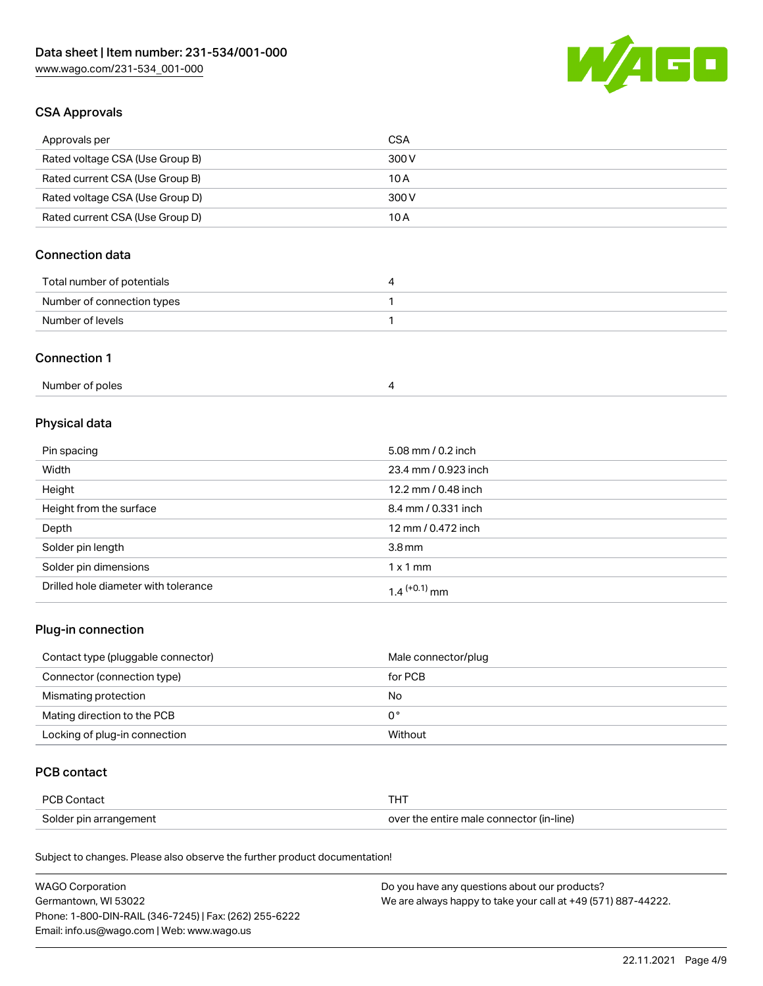

## CSA Approvals

| Approvals per                   | CSA   |
|---------------------------------|-------|
| Rated voltage CSA (Use Group B) | 300 V |
| Rated current CSA (Use Group B) | 10 A  |
| Rated voltage CSA (Use Group D) | 300 V |
| Rated current CSA (Use Group D) | 10 A  |

## Connection data

| Total number of potentials |  |
|----------------------------|--|
| Number of connection types |  |
| Number of levels           |  |

### Connection 1

## Physical data

| Pin spacing                          | 5.08 mm / 0.2 inch   |
|--------------------------------------|----------------------|
| Width                                | 23.4 mm / 0.923 inch |
| Height                               | 12.2 mm / 0.48 inch  |
| Height from the surface              | 8.4 mm / 0.331 inch  |
| Depth                                | 12 mm / 0.472 inch   |
| Solder pin length                    | 3.8 <sub>mm</sub>    |
| Solder pin dimensions                | $1 \times 1$ mm      |
| Drilled hole diameter with tolerance | $1.4$ $(+0.1)$ mm    |

## Plug-in connection

| Contact type (pluggable connector) | Male connector/plug |
|------------------------------------|---------------------|
| Connector (connection type)        | for PCB             |
| Mismating protection               | No                  |
| Mating direction to the PCB        | 0°                  |
| Locking of plug-in connection      | Without             |

## PCB contact

| <b>PCB Contact</b>     | <b>THT</b>                               |
|------------------------|------------------------------------------|
| Solder pin arrangement | over the entire male connector (in-line) |

| <b>WAGO Corporation</b>                                | Do you have any questions about our products?                 |
|--------------------------------------------------------|---------------------------------------------------------------|
| Germantown, WI 53022                                   | We are always happy to take your call at +49 (571) 887-44222. |
| Phone: 1-800-DIN-RAIL (346-7245)   Fax: (262) 255-6222 |                                                               |
| Email: info.us@wago.com   Web: www.wago.us             |                                                               |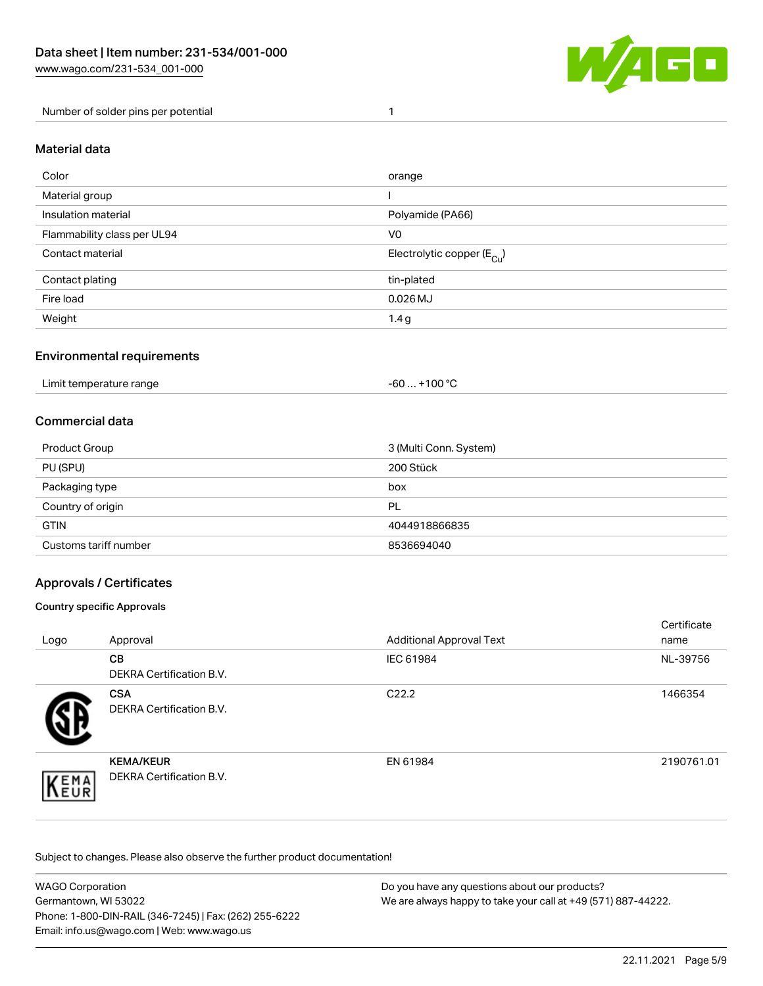

Number of solder pins per potential 1

#### Material data

| Color                       | orange                                 |
|-----------------------------|----------------------------------------|
| Material group              |                                        |
| Insulation material         | Polyamide (PA66)                       |
| Flammability class per UL94 | V <sub>0</sub>                         |
| Contact material            | Electrolytic copper (E <sub>Cu</sub> ) |
| Contact plating             | tin-plated                             |
| Fire load                   | $0.026$ MJ                             |
| Weight                      | 1.4g                                   |

### Environmental requirements

Limit temperature range  $-60... +100$  °C

### Commercial data

| Product Group         | 3 (Multi Conn. System) |
|-----------------------|------------------------|
| PU (SPU)              | 200 Stück              |
| Packaging type        | box                    |
| Country of origin     | PL                     |
| <b>GTIN</b>           | 4044918866835          |
| Customs tariff number | 8536694040             |

### Approvals / Certificates

#### Country specific Approvals

| Logo               | Approval                                            | <b>Additional Approval Text</b> | Certificate<br>name |
|--------------------|-----------------------------------------------------|---------------------------------|---------------------|
|                    | <b>CB</b><br><b>DEKRA Certification B.V.</b>        | IEC 61984                       | NL-39756            |
|                    | <b>CSA</b><br>DEKRA Certification B.V.              | C <sub>22.2</sub>               | 1466354             |
| EMA<br><b>NEUR</b> | <b>KEMA/KEUR</b><br><b>DEKRA Certification B.V.</b> | EN 61984                        | 2190761.01          |

| WAGO Corporation                                       | Do you have any questions about our products?                 |
|--------------------------------------------------------|---------------------------------------------------------------|
| Germantown, WI 53022                                   | We are always happy to take your call at +49 (571) 887-44222. |
| Phone: 1-800-DIN-RAIL (346-7245)   Fax: (262) 255-6222 |                                                               |
| Email: info.us@wago.com   Web: www.wago.us             |                                                               |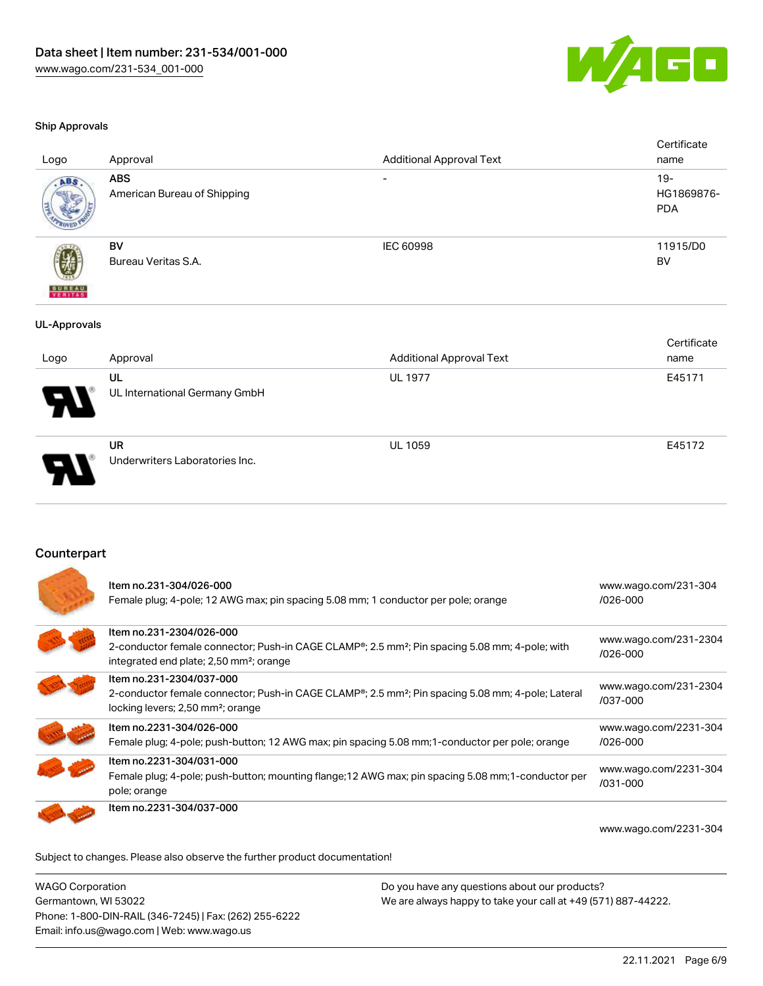

#### Ship Approvals

| Logo                     | Approval                                  | <b>Additional Approval Text</b> | Certificate<br>name                |
|--------------------------|-------------------------------------------|---------------------------------|------------------------------------|
| ABS.                     | <b>ABS</b><br>American Bureau of Shipping | $\overline{\phantom{a}}$        | $19 -$<br>HG1869876-<br><b>PDA</b> |
| <b>BUREAU</b><br>VERITAS | BV<br>Bureau Veritas S.A.                 | <b>IEC 60998</b>                | 11915/D0<br>BV                     |
| <b>UL-Approvals</b>      |                                           |                                 |                                    |
|                          |                                           |                                 | Certificate                        |
| Logo                     | Approval                                  | <b>Additional Approval Text</b> | name                               |
|                          | UL                                        | <b>UL 1977</b>                  | E45171                             |
|                          | UL International Germany GmbH             |                                 |                                    |
|                          | <b>UR</b>                                 | <b>UL 1059</b>                  | E45172                             |
|                          | Underwriters Laboratories Inc.            |                                 |                                    |

### Counterpart

| Item no.231-304/026-000<br>Female plug; 4-pole; 12 AWG max; pin spacing 5.08 mm; 1 conductor per pole; orange                                                                                              | www.wago.com/231-304<br>/026-000  |
|------------------------------------------------------------------------------------------------------------------------------------------------------------------------------------------------------------|-----------------------------------|
| Item no.231-2304/026-000<br>2-conductor female connector; Push-in CAGE CLAMP <sup>®</sup> ; 2.5 mm <sup>2</sup> ; Pin spacing 5.08 mm; 4-pole; with<br>integrated end plate; 2,50 mm <sup>2</sup> ; orange | www.wago.com/231-2304<br>/026-000 |
| Item no.231-2304/037-000<br>2-conductor female connector; Push-in CAGE CLAMP <sup>®</sup> ; 2.5 mm <sup>2</sup> ; Pin spacing 5.08 mm; 4-pole; Lateral<br>locking levers; 2,50 mm <sup>2</sup> ; orange    | www.wago.com/231-2304<br>/037-000 |
| Item no.2231-304/026-000<br>Female plug; 4-pole; push-button; 12 AWG max; pin spacing 5.08 mm; 1-conductor per pole; orange                                                                                | www.wago.com/2231-304<br>/026-000 |
| Item no.2231-304/031-000<br>Female plug; 4-pole; push-button; mounting flange; 12 AWG max; pin spacing 5.08 mm; 1-conductor per<br>pole; orange                                                            | www.wago.com/2231-304<br>/031-000 |
| Item no.2231-304/037-000                                                                                                                                                                                   | www.wago.com/2231-304             |

Subject to changes. Please also observe the further product documentation!

WAGO Corporation Germantown, WI 53022 Phone: 1-800-DIN-RAIL (346-7245) | Fax: (262) 255-6222 Email: info.us@wago.com | Web: www.wago.us Do you have any questions about our products? We are always happy to take your call at +49 (571) 887-44222.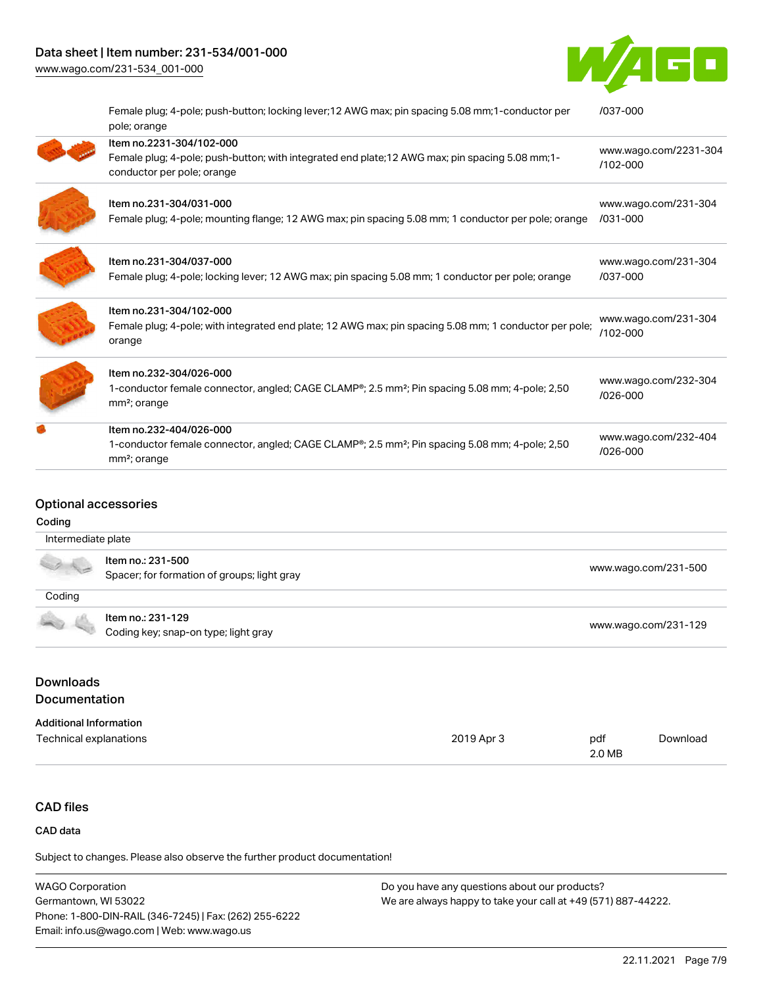## Data sheet | Item number: 231-534/001-000

[www.wago.com/231-534\\_001-000](http://www.wago.com/231-534_001-000)



| Female plug; 4-pole; push-button; locking lever; 12 AWG max; pin spacing 5.08 mm; 1-conductor per<br>pole; orange                                   | /037-000                          |
|-----------------------------------------------------------------------------------------------------------------------------------------------------|-----------------------------------|
| Item no.2231-304/102-000                                                                                                                            |                                   |
| Female plug; 4-pole; push-button; with integrated end plate; 12 AWG max; pin spacing 5.08 mm; 1-<br>conductor per pole; orange                      | www.wago.com/2231-304<br>/102-000 |
| Item no.231-304/031-000                                                                                                                             | www.wago.com/231-304              |
| Female plug; 4-pole; mounting flange; 12 AWG max; pin spacing 5.08 mm; 1 conductor per pole; orange                                                 | /031-000                          |
| Item no.231-304/037-000                                                                                                                             | www.wago.com/231-304              |
| Female plug; 4-pole; locking lever; 12 AWG max; pin spacing 5.08 mm; 1 conductor per pole; orange                                                   | /037-000                          |
| Item no.231-304/102-000                                                                                                                             |                                   |
| Female plug; 4-pole; with integrated end plate; 12 AWG max; pin spacing 5.08 mm; 1 conductor per pole;<br>orange                                    | www.wago.com/231-304<br>/102-000  |
| Item no.232-304/026-000                                                                                                                             |                                   |
| 1-conductor female connector, angled; CAGE CLAMP®; 2.5 mm <sup>2</sup> ; Pin spacing 5.08 mm; 4-pole; 2,50<br>mm <sup>2</sup> ; orange              | www.wago.com/232-304<br>/026-000  |
| Item no.232-404/026-000                                                                                                                             |                                   |
| 1-conductor female connector, angled; CAGE CLAMP <sup>®</sup> ; 2.5 mm <sup>2</sup> ; Pin spacing 5.08 mm; 4-pole; 2,50<br>mm <sup>2</sup> ; orange | www.wago.com/232-404<br>/026-000  |

#### Optional accessories

## Coding

| Intermediate plate |                                             |                      |
|--------------------|---------------------------------------------|----------------------|
|                    | Item no.: 231-500                           |                      |
|                    | Spacer; for formation of groups; light gray | www.wago.com/231-500 |
| Coding             |                                             |                      |
|                    | Item no.: 231-129                           |                      |
|                    | Coding key; snap-on type; light gray        | www.wago.com/231-129 |

## Downloads Documentation

## Additional Information

| Technical explanations | 2019 Apr 3 | pdf    | Download |
|------------------------|------------|--------|----------|
|                        |            | 2.0 MB |          |

## CAD files

### CAD data

| <b>WAGO Corporation</b>                                | Do you have any questions about our products?                 |
|--------------------------------------------------------|---------------------------------------------------------------|
| Germantown, WI 53022                                   | We are always happy to take your call at +49 (571) 887-44222. |
| Phone: 1-800-DIN-RAIL (346-7245)   Fax: (262) 255-6222 |                                                               |
| Email: info.us@wago.com   Web: www.wago.us             |                                                               |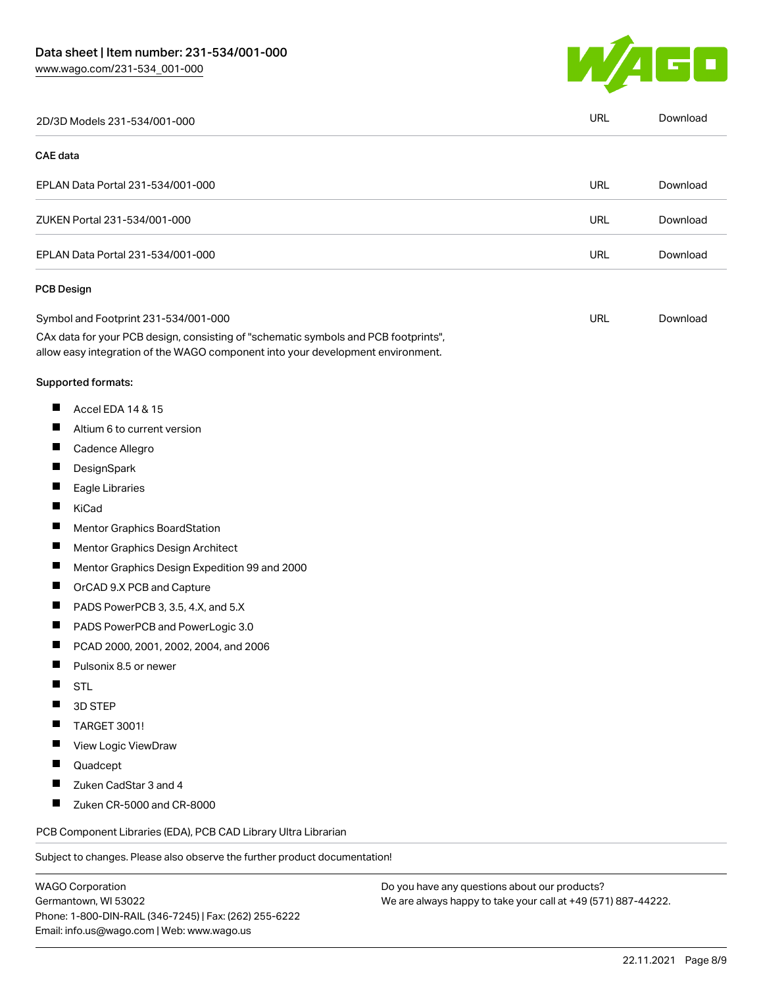

|          | 2D/3D Models 231-534/001-000                                                                                                                                           | <b>URL</b> | Download |
|----------|------------------------------------------------------------------------------------------------------------------------------------------------------------------------|------------|----------|
| CAE data |                                                                                                                                                                        |            |          |
|          | EPLAN Data Portal 231-534/001-000                                                                                                                                      | <b>URL</b> | Download |
|          | ZUKEN Portal 231-534/001-000                                                                                                                                           | URL        | Download |
|          | EPLAN Data Portal 231-534/001-000                                                                                                                                      | <b>URL</b> | Download |
|          | <b>PCB Design</b>                                                                                                                                                      |            |          |
|          | Symbol and Footprint 231-534/001-000                                                                                                                                   | <b>URL</b> | Download |
|          | CAx data for your PCB design, consisting of "schematic symbols and PCB footprints",<br>allow easy integration of the WAGO component into your development environment. |            |          |
|          | Supported formats:                                                                                                                                                     |            |          |
| ш        | Accel EDA 14 & 15                                                                                                                                                      |            |          |
| Ш        | Altium 6 to current version                                                                                                                                            |            |          |
| ш        | Cadence Allegro                                                                                                                                                        |            |          |
| П        | DesignSpark                                                                                                                                                            |            |          |
| Ш        | Eagle Libraries                                                                                                                                                        |            |          |
| ш        | KiCad                                                                                                                                                                  |            |          |
| п        | Mentor Graphics BoardStation                                                                                                                                           |            |          |
| Ш        | Mentor Graphics Design Architect                                                                                                                                       |            |          |
| Ш        | Mentor Graphics Design Expedition 99 and 2000                                                                                                                          |            |          |
| П        | OrCAD 9.X PCB and Capture                                                                                                                                              |            |          |
| ш        | PADS PowerPCB 3, 3.5, 4.X, and 5.X                                                                                                                                     |            |          |
| ш        | PADS PowerPCB and PowerLogic 3.0                                                                                                                                       |            |          |
| Ш        | PCAD 2000, 2001, 2002, 2004, and 2006                                                                                                                                  |            |          |
|          | Pulsonix 8.5 or newer                                                                                                                                                  |            |          |
|          | <b>STL</b>                                                                                                                                                             |            |          |
|          | 3D STEP                                                                                                                                                                |            |          |
|          | <b>TARGET 3001!</b>                                                                                                                                                    |            |          |
| H        | View Logic ViewDraw                                                                                                                                                    |            |          |
|          | Quadcept                                                                                                                                                               |            |          |
|          | Zuken CadStar 3 and 4                                                                                                                                                  |            |          |
| Ш        | Zuken CR-5000 and CR-8000                                                                                                                                              |            |          |
|          | PCB Component Libraries (EDA), PCB CAD Library Ultra Librarian                                                                                                         |            |          |
|          | Subject to changes. Please also observe the further product documentation!                                                                                             |            |          |
|          | <b>WAGO Corporation</b><br>Do you have any questions about our products?                                                                                               |            |          |

WAGO Corporation Germantown, WI 53022 Phone: 1-800-DIN-RAIL (346-7245) | Fax: (262) 255-6222 Email: info.us@wago.com | Web: www.wago.us